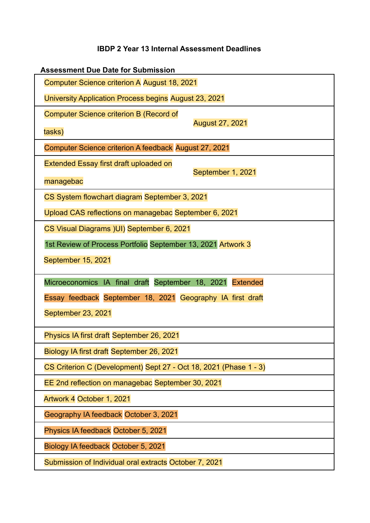## **IBDP 2 Year 13 Internal Assessment Deadlines**

| <b>Assessment Due Date for Submission</b>                         |                        |
|-------------------------------------------------------------------|------------------------|
| Computer Science criterion A August 18, 2021                      |                        |
| University Application Process begins August 23, 2021             |                        |
| <b>Computer Science criterion B (Record of</b>                    | <b>August 27, 2021</b> |
| tasks)                                                            |                        |
| Computer Science criterion A feedback August 27, 2021             |                        |
| Extended Essay first draft uploaded on                            | September 1, 2021      |
| managebac                                                         |                        |
| CS System flowchart diagram September 3, 2021                     |                        |
| Upload CAS reflections on managebac September 6, 2021             |                        |
| CS Visual Diagrams (UI) September 6, 2021                         |                        |
| 1st Review of Process Portfolio September 13, 2021 Artwork 3      |                        |
| September 15, 2021                                                |                        |
| Microeconomics IA final draft September 18, 2021 Extended         |                        |
| Essay feedback September 18, 2021 Geography IA first draft        |                        |
| September 23, 2021                                                |                        |
| Physics IA first draft September 26, 2021                         |                        |
| Biology IA first draft September 26, 2021                         |                        |
| CS Criterion C (Development) Sept 27 - Oct 18, 2021 (Phase 1 - 3) |                        |
| EE 2nd reflection on managebac September 30, 2021                 |                        |
| Artwork 4 October 1, 2021                                         |                        |
| Geography IA feedback October 3, 2021                             |                        |
| Physics IA feedback October 5, 2021                               |                        |
| Biology IA feedback October 5, 2021                               |                        |
| Submission of Individual oral extracts October 7, 2021            |                        |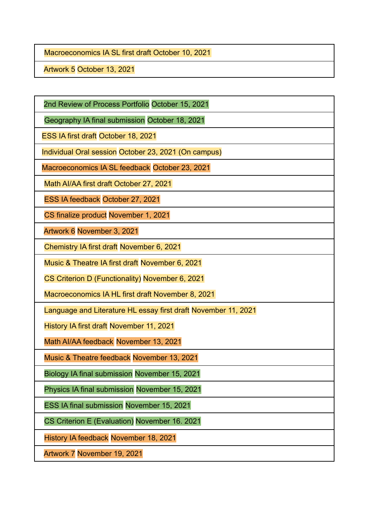Macroeconomics IA SL first draft October 10, 2021

Artwork 5 October 13, 2021

2nd Review of Process Portfolio October 15, 2021

Geography IA final submission October 18, 2021

ESS IA first draft October 18, 2021

Individual Oral session October 23, 2021 (On campus)

Macroeconomics IA SL feedback October 23, 2021

Math AI/AA first draft October 27, 2021

ESS IA feedback October 27, 2021

CS finalize product November 1, 2021

Artwork 6 November 3, 2021

Chemistry IA first draft November 6, 2021

Music & Theatre IA first draft November 6, 2021

CS Criterion D (Functionality) November 6, 2021

Macroeconomics IA HL first draft November 8, 2021

Language and Literature HL essay first draft November 11, 2021

History IA first draft November 11, 2021

Math AI/AA feedback November 13, 2021

Music & Theatre feedback November 13, 2021

Biology IA final submission November 15, 2021

Physics IA final submission November 15, 2021

ESS IA final submission November 15, 2021

CS Criterion E (Evaluation) November 16. 2021

History IA feedback November 18, 2021

Artwork 7 November 19, 2021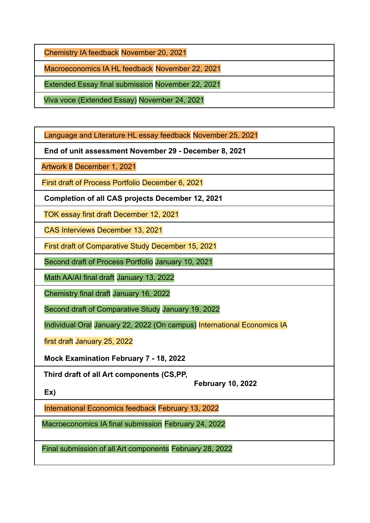Chemistry IA feedback November 20, 2021

Macroeconomics IA HL feedback November 22, 2021

Extended Essay final submission November 22, 2021

Viva voce (Extended Essay) November 24, 2021

Language and Literature HL essay feedback November 25, 2021

**End of unit assessment November 29 - December 8, 2021**

Artwork 8 December 1, 2021

First draft of Process Portfolio December 6, 2021

**Completion of all CAS projects December 12, 2021**

TOK essay first draft December 12, 2021

CAS Interviews December 13, 2021

First draft of Comparative Study December 15, 2021

Second draft of Process Portfolio January 10, 2021

Math AA/AI final draft January 13, 2022

Chemistry final draft January 16, 2022

Second draft of Comparative Study January 19, 2022

Individual Oral January 22, 2022 (On campus) International Economics IA

first draft January 25, 2022

**Mock Examination February 7 - 18, 2022**

**Third draft of all Art components (CS,PP,**

**February 10, 2022**

**Ex)**

International Economics feedback February 13, 2022

Macroeconomics IA final submission February 24, 2022

Final submission of all Art components February 28, 2022